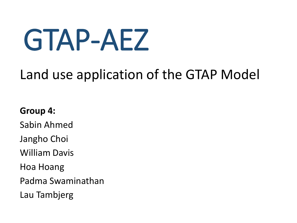# GTAP-AEZ

### Land use application of the GTAP Model

#### **Group 4:**

Sabin Ahmed

Jangho Choi

William Davis

Hoa Hoang

Padma Swaminathan

Lau Tambjerg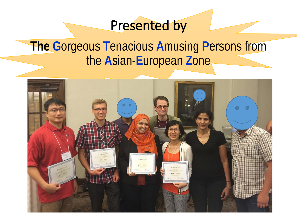### Presented by

### **The G**orgeous **T**enacious **A**musing **P**ersons from the **A**sian-**E**uropean **Z**one

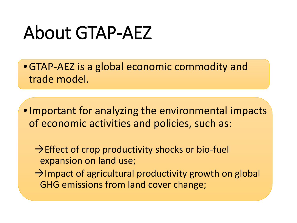## About GTAP-AEZ

•GTAP-AEZ is a global economic commodity and trade model.

•Important for analyzing the environmental impacts of economic activities and policies, such as:

 $\rightarrow$  Effect of crop productivity shocks or bio-fuel expansion on land use;

 $\rightarrow$ Impact of agricultural productivity growth on global GHG emissions from land cover change;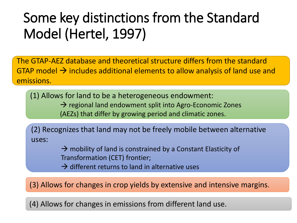### Some key distinctions from the Standard Model (Hertel, 1997)

The GTAP-AEZ database and theoretical structure differs from the standard GTAP model  $\rightarrow$  includes additional elements to allow analysis of land use and emissions.

(1) Allows for land to be a heterogeneous endowment:  $\rightarrow$  regional land endowment split into Agro-Economic Zones

(AEZs) that differ by growing period and climatic zones.

(2) Recognizes that land may not be freely mobile between alternative uses:

> $\rightarrow$  mobility of land is constrained by a Constant Elasticity of Transformation (CET) frontier;

 $\rightarrow$  different returns to land in alternative uses

(3) Allows for changes in crop yields by extensive and intensive margins.

(4) Allows for changes in emissions from different land use.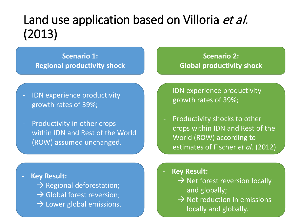### Land use application based on Villoria et al. (2013)

**Scenario 1: Regional productivity shock**

IDN experience productivity growth rates of 39%;

Productivity in other crops within IDN and Rest of the World (ROW) assumed unchanged.

- **Key Result:** 

 $\rightarrow$  Regional deforestation;

- $\rightarrow$  Global forest reversion;
- $\rightarrow$  Lower global emissions.

**Scenario 2: Global productivity shock** 

- IDN experience productivity growth rates of 39%;
- Productivity shocks to other crops within IDN and Rest of the World (ROW) according to estimates of Fischer *et al.* (2012).

- **Key Result:** 

- $\rightarrow$  Net forest reversion locally and globally;
- $\rightarrow$  Net reduction in emissions locally and globally.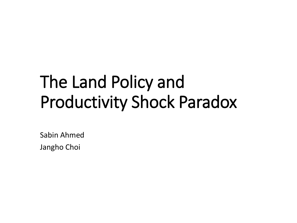## The Land Policy and Productivity Shock Paradox

Sabin Ahmed

Jangho Choi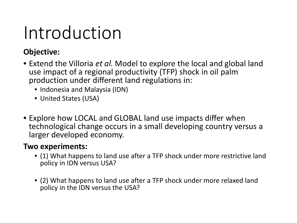## Introduction

#### **Objective:**

- Extend the Villoria *et al.* Model to explore the local and global land use impact of a regional productivity (TFP) shock in oil palm production under different land regulations in:
	- Indonesia and Malaysia (IDN)
	- United States (USA)
- Explore how LOCAL and GLOBAL land use impacts differ when technological change occurs in a small developing country versus a larger developed economy.

#### **Two experiments:**

- (1) What happens to land use after a TFP shock under more restrictive land policy in IDN versus USA?
- (2) What happens to land use after a TFP shock under more relaxed land policy in the IDN versus the USA?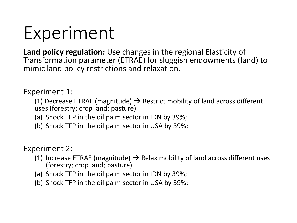## Experiment

**Land policy regulation:** Use changes in the regional Elasticity of Transformation parameter (ETRAE) for sluggish endowments (land) to mimic land policy restrictions and relaxation.

Experiment 1:

(1) Decrease ETRAE (magnitude)  $\rightarrow$  Restrict mobility of land across different uses (forestry; crop land; pasture)

- (a) Shock TFP in the oil palm sector in IDN by 39%;
- (b) Shock TFP in the oil palm sector in USA by 39%;

Experiment 2:

- (1) Increase ETRAE (magnitude)  $\rightarrow$  Relax mobility of land across different uses (forestry; crop land; pasture)
- (a) Shock TFP in the oil palm sector in IDN by 39%;
- (b) Shock TFP in the oil palm sector in USA by 39%;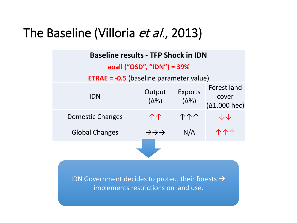### The Baseline (Villoria et al., 2013)

| <b>Baseline results - TFP Shock in IDN</b>                  |                                       |                                |                                              |  |  |
|-------------------------------------------------------------|---------------------------------------|--------------------------------|----------------------------------------------|--|--|
| aoall ("OSD", "IDN") = 39%                                  |                                       |                                |                                              |  |  |
| <b>ETRAE = <math>-0.5</math></b> (baseline parameter value) |                                       |                                |                                              |  |  |
| <b>IDN</b>                                                  | Output<br>$(\Delta\%)$                | <b>Exports</b><br>$(\Delta\%)$ | Forest land<br>cover<br>$(\Delta 1,000$ hec) |  |  |
| Domestic Changes                                            | 个个                                    | 个个个                            | すん                                           |  |  |
| <b>Global Changes</b>                                       | $\rightarrow \rightarrow \rightarrow$ | N/A                            | <u> ተተ</u>                                   |  |  |

IDN Government decides to protect their forests  $\rightarrow$ implements restrictions on land use.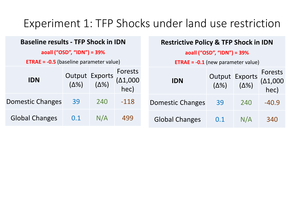#### Experiment 1: TFP Shocks under land use restriction

|                                                | <b>Baseline results - TFP Shock in IDN</b> |              | <b>Restrictive Policy &amp; TFP Shock in IDN</b> |  |                                           |     |                             |                                     |
|------------------------------------------------|--------------------------------------------|--------------|--------------------------------------------------|--|-------------------------------------------|-----|-----------------------------|-------------------------------------|
| aoall ("OSD", "IDN") = 39%                     |                                            |              | aoall ("OSD", "IDN") = 39%                       |  |                                           |     |                             |                                     |
| <b>ETRAE = -0.5</b> (baseline parameter value) |                                            |              |                                                  |  | <b>ETRAE = -0.1</b> (new parameter value) |     |                             |                                     |
| <b>IDN</b>                                     | Output Exports<br>(Δ%) (Δ%)                | $(\Delta\%)$ | Forests<br>$(\Delta 1,000)$<br>hec)              |  | <b>IDN</b>                                |     | Output Exports<br>(Δ%) (Δ%) | Forests<br>$(\Delta 1,000)$<br>hec) |
| Domestic Changes                               | 39                                         | 240          | $-118$                                           |  | <b>Domestic Changes</b>                   | 39  | 240                         | $-40.9$                             |
| <b>Global Changes</b>                          | 0.1                                        | N/A          | 499                                              |  | <b>Global Changes</b>                     | 0.1 | N/A                         | 340                                 |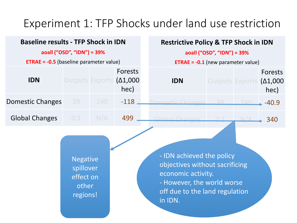#### Experiment 1: TFP Shocks under land use restriction

#### **Baseline results - TFP Shock in IDN aoall ("OSD", "IDN") = 39% ETRAE = -0.5** (baseline parameter value) **IDN** Outputs Exports (Δ1,000 Forests hec) **Domestic Changes** 39 240 -118 Global Changes 0.1 N/A 499 **Restrictive Policy & TFP Shock in IDN aoall ("OSD", "IDN") = 39% ETRAE = -0.1** (new parameter value) **IDN** Outputs Exports (Δ1,000 Forests hec) Domestic Changes 39 240 -40.9 Global Changes 0.1 N/A 340

Negative spillover effect on other regions!

- IDN achieved the policy objectives without sacrificing economic activity. - However, the world worse off due to the land regulation in IDN.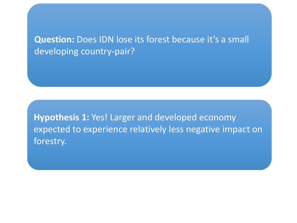**Question:** Does IDN lose its forest because it's a small developing country-pair?

**Hypothesis 1:** Yes! Larger and developed economy expected to experience relatively less negative impact on forestry.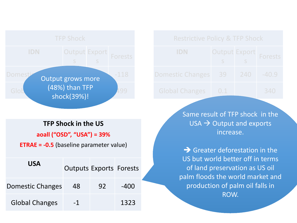

#### **TFP Shock in the US**

**aoall ("OSD", "USA") = 39%**

**ETRAE = -0.5** (baseline parameter value)

| <b>USA</b>              | <b>Outputs Exports Forests</b> |    |        |  |
|-------------------------|--------------------------------|----|--------|--|
| <b>Domestic Changes</b> | 48                             | 92 | $-400$ |  |
| <b>Global Changes</b>   | -1                             |    | 1323   |  |

|  |  | <b>Restrictive Policy &amp; TFP Shock</b> |
|--|--|-------------------------------------------|
|--|--|-------------------------------------------|

| <b>IDN</b>                    | $S_S$ S | Output Export Forests |
|-------------------------------|---------|-----------------------|
| Domestic Changes 39 240 -40.9 |         |                       |
| Global Changes   0.1          |         | 340                   |

Same result of TFP shock in the  $USA \rightarrow Output$  and exports increase.

 $\rightarrow$  Greater deforestation in the US but world better off in terms of land preservation as US oil palm floods the world market and production of palm oil falls in ROW.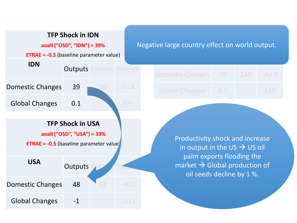

#### Negative large country effect on world output.

| Domestic Changes 39 240 -40.9 |  |     |
|-------------------------------|--|-----|
| Global Changes 0.1            |  | 340 |

s

s

Productivity shock and increase in output in the US  $\rightarrow$  US oil palm exports flooding the market  $\rightarrow$  Global production of oil seeds decline by 1 %.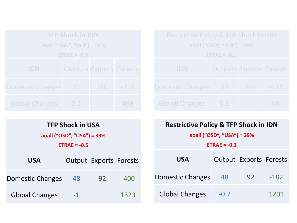| <b>TFP Shock in IDN</b>                      |    |     |        |  |  |  |
|----------------------------------------------|----|-----|--------|--|--|--|
| aoall ("OSD", "IDN") = 39%                   |    |     |        |  |  |  |
| $ETRAE = -0.5$                               |    |     |        |  |  |  |
| <b>IDN</b><br><b>Outputs Exports Forests</b> |    |     |        |  |  |  |
| <b>Domestic Changes</b>                      | 39 | 240 | $-118$ |  |  |  |
| <b>Global Changes</b><br>0.1                 |    |     |        |  |  |  |

| Restrictive Policy & TFP Shock in IDN |                                |     |         |  |  |  |
|---------------------------------------|--------------------------------|-----|---------|--|--|--|
| aoall ("OSD", "IDN") = 39%            |                                |     |         |  |  |  |
| $ETRAE = -0.1$                        |                                |     |         |  |  |  |
| <b>IDN</b>                            | <b>Outputs Exports Forests</b> |     |         |  |  |  |
| <b>Domestic Changes</b>               | 39                             | 240 | $-40.9$ |  |  |  |
| <b>Global Changes</b>                 | 0.1                            |     | 340     |  |  |  |

| <b>TFP Shock in USA</b><br>aoall ("OSD", "USA") = 39%<br>$ETRAE = -0.5$ |                               |    |      |  |  |
|-------------------------------------------------------------------------|-------------------------------|----|------|--|--|
| <b>USA</b>                                                              | <b>Output Exports Forests</b> |    |      |  |  |
| Domestic Changes                                                        | 48                            | 92 | -400 |  |  |
| <b>Global Changes</b>                                                   | -1                            |    | 1323 |  |  |

| <b>Restrictive Policy &amp; TFP Shock in IDN</b> |           |                               |        |  |  |  |
|--------------------------------------------------|-----------|-------------------------------|--------|--|--|--|
| aoall ("OSD", "USA") = 39%                       |           |                               |        |  |  |  |
| $ETRAE = -0.1$                                   |           |                               |        |  |  |  |
| <b>USA</b>                                       |           | <b>Output Exports Forests</b> |        |  |  |  |
| Domestic Changes                                 | 48        | 92                            | $-182$ |  |  |  |
| <b>Global Changes</b>                            | $-()$ . / |                               | 1201   |  |  |  |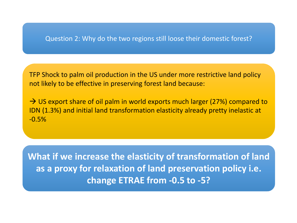#### Question 2: Why do the two regions still loose their domestic forest?

TFP Shock to palm oil production in the US under more restrictive land policy not likely to be effective in preserving forest land because:

 $\rightarrow$  US export share of oil palm in world exports much larger (27%) compared to IDN (1.3%) and initial land transformation elasticity already pretty inelastic at -0.5%

**What if we increase the elasticity of transformation of land as a proxy for relaxation of land preservation policy i.e. change ETRAE from -0.5 to -5?**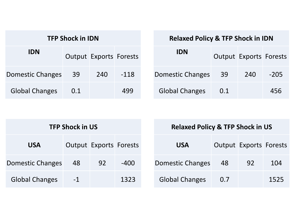| <b>TFP Shock in IDN</b> |     |                               |        |  |  |  |
|-------------------------|-----|-------------------------------|--------|--|--|--|
| <b>IDN</b>              |     | <b>Output Exports Forests</b> |        |  |  |  |
| <b>Domestic Changes</b> | 39  | 240                           | $-118$ |  |  |  |
| <b>Global Changes</b>   | 0.1 |                               | 499    |  |  |  |

| <b>Relaxed Policy &amp; TFP Shock in IDN</b> |  |  |  |  |  |  |
|----------------------------------------------|--|--|--|--|--|--|
|----------------------------------------------|--|--|--|--|--|--|

| IDN                   |     | <b>Output Exports Forests</b> |        |
|-----------------------|-----|-------------------------------|--------|
| Domestic Changes      | 39  | 240                           | $-205$ |
| <b>Global Changes</b> | 0.1 |                               | 456    |

|                       | <b>TFP Shock in US</b> |                               |        | <b>Relaxed Policy &amp; TFP Shock in US</b> |     |                               |      |
|-----------------------|------------------------|-------------------------------|--------|---------------------------------------------|-----|-------------------------------|------|
| <b>USA</b>            |                        | <b>Output Exports Forests</b> |        | <b>USA</b>                                  |     | <b>Output Exports Forests</b> |      |
| Domestic Changes      | 48                     | 92                            | $-400$ | Domestic Changes                            | 48  | 92                            | 104  |
| <b>Global Changes</b> | $-1$                   |                               | 1323   | <b>Global Changes</b>                       | 0.7 |                               | 1525 |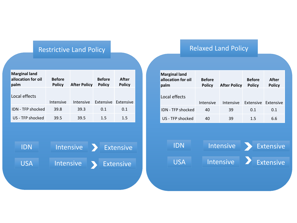#### Restrictive Land Policy

| <b>Marginal land</b><br>allocation for oil<br>palm | <b>Before</b><br><b>Policy</b> | <b>After Policy</b> | <b>Before</b><br><b>Policy</b> | After<br><b>Policy</b> |
|----------------------------------------------------|--------------------------------|---------------------|--------------------------------|------------------------|
| Local effects                                      | Intensive                      | Intensive           | Extensive Extensive            |                        |
| IDN - TFP shocked                                  | 39.8                           | 39.3                | 0.1                            | 0.1                    |
| US - TFP shocked                                   | 39.5                           | 39.5                | 1.5                            | $1.5\,$                |



#### Relaxed Land Policy

| <b>Marginal land</b><br>allocation for oil<br>palm | <b>Before</b><br><b>Policy</b> | <b>After Policy</b> | <b>Before</b><br><b>Policy</b> | After<br><b>Policy</b> |
|----------------------------------------------------|--------------------------------|---------------------|--------------------------------|------------------------|
| Local effects                                      | Intensive                      | Intensive           | Extensive Extensive            |                        |
| <b>IDN - TFP shocked</b>                           | 40                             | 39                  | 0.1                            | 0.1                    |
| US - TFP shocked                                   | 40                             | 39                  | $1.5\,$                        | 6.6                    |

IDN Intensive Extensive USA Intensive Extensive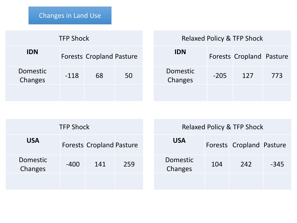| <b>TFP Shock</b>                              |        |    |    |  |  |
|-----------------------------------------------|--------|----|----|--|--|
| <b>IDN</b><br><b>Forests Cropland Pasture</b> |        |    |    |  |  |
| Domestic<br>Changes                           | $-118$ | 68 | 50 |  |  |
|                                               |        |    |    |  |  |

#### Relaxed Policy & TFP Shock

| <b>IDN</b>          |        | <b>Forests Cropland Pasture</b> |     |
|---------------------|--------|---------------------------------|-----|
| Domestic<br>Changes | $-205$ | 127                             | 773 |
|                     |        |                                 |     |

|                            | <b>TFP Shock</b> |                                 |     |                     |     | <b>Relaxed Policy &amp; TFP Shock</b> |        |
|----------------------------|------------------|---------------------------------|-----|---------------------|-----|---------------------------------------|--------|
| <b>USA</b>                 |                  | <b>Forests Cropland Pasture</b> |     | <b>USA</b>          |     | Forests Cropland Pasture              |        |
| <b>Domestic</b><br>Changes | $-400$           | 141                             | 259 | Domestic<br>Changes | 104 | 242                                   | $-345$ |
|                            |                  |                                 |     |                     |     |                                       |        |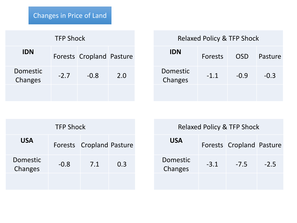| <b>TFP Shock</b>    |                          |        |     |  |  |  |
|---------------------|--------------------------|--------|-----|--|--|--|
| <b>IDN</b>          | Forests Cropland Pasture |        |     |  |  |  |
| Domestic<br>Changes | $-2.7$                   | $-0.8$ | 2.0 |  |  |  |
|                     |                          |        |     |  |  |  |

| <b>IDN</b>          | Forests | <b>OSD</b> | Pasture |
|---------------------|---------|------------|---------|
| Domestic<br>Changes | $-1.1$  | $-0.9$     | $-0.3$  |
|                     |         |            |         |

| <b>TFP Shock</b>    |                                 |     |     |  |  |  |
|---------------------|---------------------------------|-----|-----|--|--|--|
| <b>USA</b>          | <b>Forests Cropland Pasture</b> |     |     |  |  |  |
| Domestic<br>Changes | $-0.8$                          | 7.1 | 0.3 |  |  |  |
|                     |                                 |     |     |  |  |  |

| Relaxed Policy & TFP Shock |        |                                 |        |  |
|----------------------------|--------|---------------------------------|--------|--|
| <b>USA</b>                 |        | <b>Forests Cropland Pasture</b> |        |  |
| Domestic<br>Changes        | $-3.1$ | $-7.5$                          | $-2.5$ |  |
|                            |        |                                 |        |  |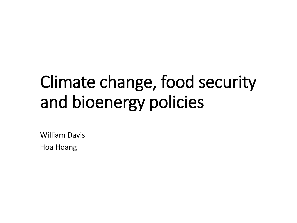## Climate change, food security and bioenergy policies

William Davis

Hoa Hoang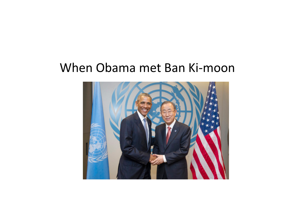#### When Obama met Ban Ki-moon

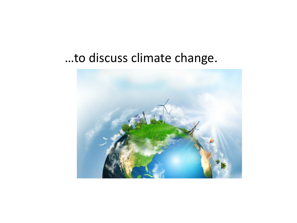#### …to discuss climate change.

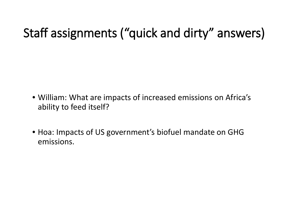### Staff assignments ("quick and dirty" answers)

- William: What are impacts of increased emissions on Africa's ability to feed itself?
- Hoa: Impacts of US government's biofuel mandate on GHG emissions.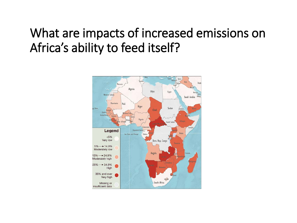### What are impacts of increased emissions on Africa's ability to feed itself?

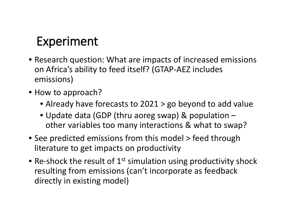#### Experiment

- Research question: What are impacts of increased emissions on Africa's ability to feed itself? (GTAP-AEZ includes emissions)
- How to approach?
	- Already have forecasts to 2021 > go beyond to add value
	- Update data (GDP (thru aoreg swap) & population other variables too many interactions & what to swap?
- See predicted emissions from this model > feed through literature to get impacts on productivity
- Re-shock the result of  $1<sup>st</sup>$  simulation using productivity shock resulting from emissions (can't incorporate as feedback directly in existing model)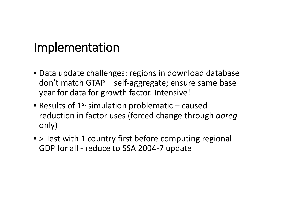#### Implementation

- Data update challenges: regions in download database don't match GTAP – self-aggregate; ensure same base year for data for growth factor. Intensive!
- Results of  $1^{st}$  simulation problematic caused reduction in factor uses (forced change through *aoreg* only)
- > Test with 1 country first before computing regional GDP for all - reduce to SSA 2004-7 update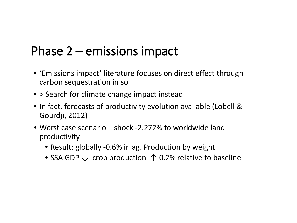#### Phase 2 – emissions impact

- 'Emissions impact' literature focuses on direct effect through carbon sequestration in soil
- > Search for climate change impact instead
- In fact, forecasts of productivity evolution available (Lobell & Gourdji, 2012)
- Worst case scenario shock -2.272% to worldwide land productivity
	- Result: globally -0.6% in ag. Production by weight
	- SSA GDP  $\downarrow$  crop production  $\uparrow$  0.2% relative to baseline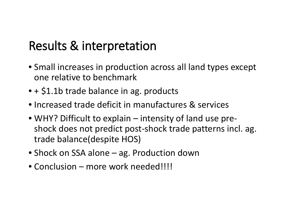### Results & interpretation

- Small increases in production across all land types except one relative to benchmark
- + \$1.1b trade balance in ag. products
- Increased trade deficit in manufactures & services
- WHY? Difficult to explain intensity of land use preshock does not predict post-shock trade patterns incl. ag. trade balance(despite HOS)
- Shock on SSA alone ag. Production down
- Conclusion more work needed!!!!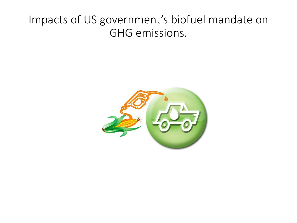#### Impacts of US government's biofuel mandate on GHG emissions.

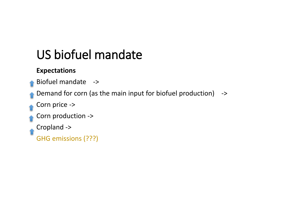### US biofuel mandate

#### **Expectations**

Biofuel mandate ->

Demand for corn (as the main input for biofuel production) ->

Corn price ->

Corn production ->

Cropland ->

GHG emissions (???)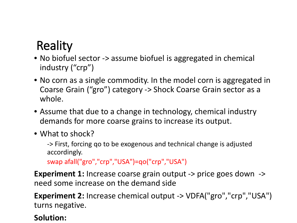### **Reality**

- No biofuel sector -> assume biofuel is aggregated in chemical industry ("crp")
- No corn as a single commodity. In the model corn is aggregated in Coarse Grain ("gro") category -> Shock Coarse Grain sector as a whole.
- Assume that due to a change in technology, chemical industry demands for more coarse grains to increase its output.
- What to shock?

-> First, forcing qo to be exogenous and technical change is adjusted accordingly.

swap afall("gro","crp","USA")=qo("crp","USA")

**Experiment 1:** Increase coarse grain output -> price goes down -> need some increase on the demand side

**Experiment 2:** Increase chemical output -> VDFA("gro","crp","USA") turns negative.

#### **Solution:**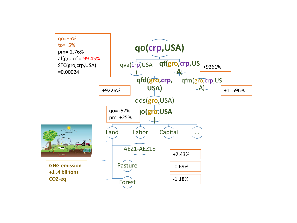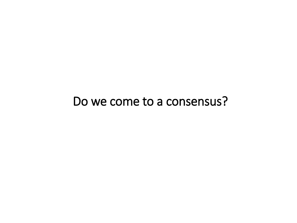#### Do we come to a consensus?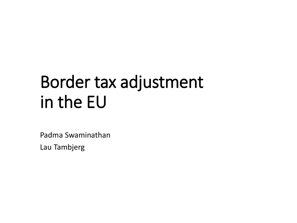## Border tax adjustment in the EU

Padma Swaminathan

Lau Tambjerg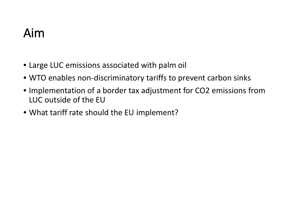### Aim

- Large LUC emissions associated with palm oil
- WTO enables non-discriminatory tariffs to prevent carbon sinks
- Implementation of a border tax adjustment for CO2 emissions from LUC outside of the EU
- What tariff rate should the EU implement?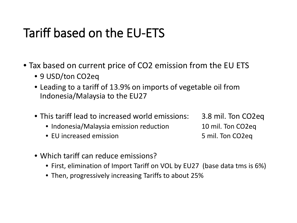### Tariff based on the EU-ETS

- Tax based on current price of CO2 emission from the EU ETS
	- 9 USD/ton CO2eq
	- Leading to a tariff of 13.9% on imports of vegetable oil from Indonesia/Malaysia to the EU27
	- This tariff lead to increased world emissions: 3.8 mil. Ton CO2eq
		- Indonesia/Malaysia emission reduction 10 mil. Ton CO2eq
		- EU increased emission 5 mil. Ton CO2eq

- Which tariff can reduce emissions?
	- First, elimination of Import Tariff on VOL by EU27 (base data tms is 6%)
	- Then, progressively increasing Tariffs to about 25%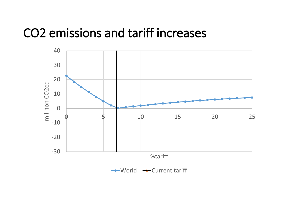#### CO2 emissions and tariff increases

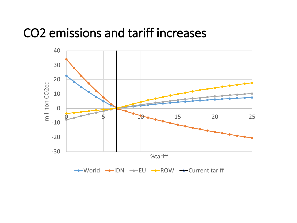#### CO2 emissions and tariff increases

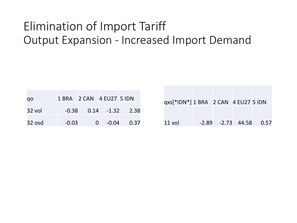#### Elimination of Import Tariff Output Expansion - Increased Import Demand

| qo     | 1 BRA 2 CAN 4 EU27 5 IDN |                        |                   |      |
|--------|--------------------------|------------------------|-------------------|------|
| 32 vol |                          | $-0.38$ $0.14$ $-1.32$ |                   | 2.38 |
| 32 osd | $-0.03$                  |                        | -0.04<br>$\Omega$ | 0.37 |

| qxs[*IDN*] 1 BRA 2 CAN 4 EU27 5 IDN |  |                              |
|-------------------------------------|--|------------------------------|
|                                     |  |                              |
| 11 vol                              |  | $-2.89$ $-2.73$ $44.58$ 0.57 |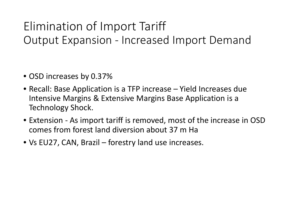#### Elimination of Import Tariff Output Expansion - Increased Import Demand

- OSD increases by 0.37%
- Recall: Base Application is a TFP increase Yield Increases due Intensive Margins & Extensive Margins Base Application is a Technology Shock.
- Extension As import tariff is removed, most of the increase in OSD comes from forest land diversion about 37 m Ha
- Vs EU27, CAN, Brazil forestry land use increases.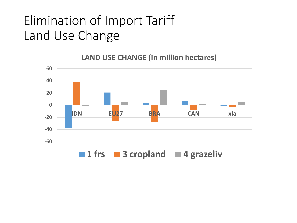### Elimination of Import Tariff Land Use Change

**-60 -40 -20 0 20 40 60 IDN EU27 BRA CAN xla** ■ 1 frs ■ 3 cropland ■ 4 grazeliv

**LAND USE CHANGE (in million hectares)**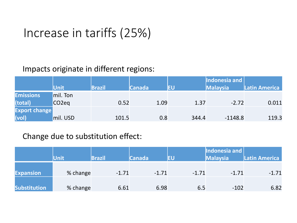#### Increase in tariffs (25%)

#### Impacts originate in different regions:

|                      | <b>Unit</b>        | <b>Brazil</b> | <b>Canada</b> | EU    | Indonesia and<br><b>Malaysia</b> | Latin America |
|----------------------|--------------------|---------------|---------------|-------|----------------------------------|---------------|
| <b>Emissions</b>     | mil. Ton           |               |               |       |                                  |               |
| (total)              | CO <sub>2</sub> eq | 0.52          | 1.09          | 1.37  | $-2.72$                          | 0.011         |
| <b>Export change</b> |                    |               |               |       |                                  |               |
| (vol)                | mil. USD           | 101.5         | 0.8           | 344.4 | $-1148.8$                        | 119.3         |

#### Change due to substitution effect:

|                     | Unit     | <b>Brazil</b> | <b>Canada</b> | EU      | Indonesia and<br><b>Malaysia</b> | Latin America |
|---------------------|----------|---------------|---------------|---------|----------------------------------|---------------|
| <b>Expansion</b>    | % change | $-1.71$       | $-1.71$       | $-1.71$ | $-1.71$                          | $-1.71$       |
| <b>Substitution</b> | % change | 6.61          | 6.98          | 6.5     | $-102$                           | 6.82          |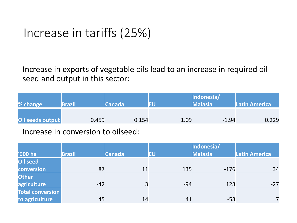#### Increase in tariffs (25%)

Increase in exports of vegetable oils lead to an increase in required oil seed and output in this sector:

| % change         | <b>Brazil</b> | <b>Canada</b> | ΙEυ  | Indonesia/<br><b>Malasia</b> | <b>Latin America</b> |
|------------------|---------------|---------------|------|------------------------------|----------------------|
| Oil seeds output | 0.459         | 0.154         | 1.09 | $-1.94$                      | 0.229                |
|                  |               |               |      |                              |                      |

Increase in conversion to oilseed:

|                         |               |               |       | Indonesia/     |               |
|-------------------------|---------------|---------------|-------|----------------|---------------|
| '000 ha                 | <b>Brazil</b> | <b>Canada</b> | EU    | <b>Malasia</b> | Latin America |
| Oil seed                |               |               |       |                |               |
| conversion              | 87            | 11            | 135   | $-176$         | 34            |
| <b>Other</b>            |               |               |       |                |               |
| agriculture             | $-42$         | 3             | $-94$ | 123            | $-27$         |
| <b>Total conversion</b> |               |               |       |                |               |
| to agriculture          | 45            | 14            | 41    | $-53$          |               |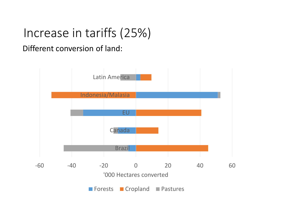### Increase in tariffs (25%)

Different conversion of land: